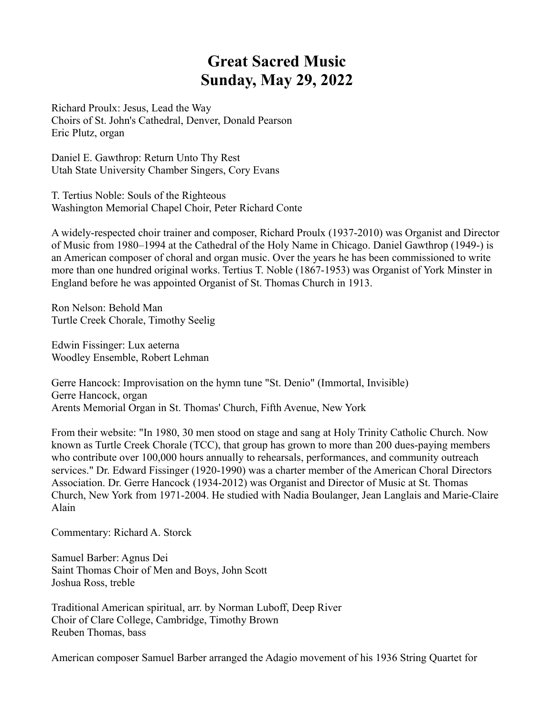## **Great Sacred Music Sunday, May 29, 2022**

Richard Proulx: Jesus, Lead the Way Choirs of St. John's Cathedral, Denver, Donald Pearson Eric Plutz, organ

Daniel E. Gawthrop: Return Unto Thy Rest Utah State University Chamber Singers, Cory Evans

T. Tertius Noble: Souls of the Righteous Washington Memorial Chapel Choir, Peter Richard Conte

A widely-respected choir trainer and composer, Richard Proulx (1937-2010) was Organist and Director of Music from 1980–1994 at the Cathedral of the Holy Name in Chicago. Daniel Gawthrop (1949-) is an American composer of choral and organ music. Over the years he has been commissioned to write more than one hundred original works. Tertius T. Noble (1867-1953) was Organist of York Minster in England before he was appointed Organist of St. Thomas Church in 1913.

Ron Nelson: Behold Man Turtle Creek Chorale, Timothy Seelig

Edwin Fissinger: Lux aeterna Woodley Ensemble, Robert Lehman

Gerre Hancock: Improvisation on the hymn tune "St. Denio" (Immortal, Invisible) Gerre Hancock, organ Arents Memorial Organ in St. Thomas' Church, Fifth Avenue, New York

From their website: "In 1980, 30 men stood on stage and sang at Holy Trinity Catholic Church. Now known as Turtle Creek Chorale (TCC), that group has grown to more than 200 dues-paying members who contribute over 100,000 hours annually to rehearsals, performances, and community outreach services." Dr. Edward Fissinger (1920-1990) was a charter member of the American Choral Directors Association. Dr. Gerre Hancock (1934-2012) was Organist and Director of Music at St. Thomas Church, New York from 1971-2004. He studied with Nadia Boulanger, Jean Langlais and Marie-Claire Alain

Commentary: Richard A. Storck

Samuel Barber: Agnus Dei Saint Thomas Choir of Men and Boys, John Scott Joshua Ross, treble

Traditional American spiritual, arr. by Norman Luboff, Deep River Choir of Clare College, Cambridge, Timothy Brown Reuben Thomas, bass

American composer Samuel Barber arranged the Adagio movement of his 1936 String Quartet for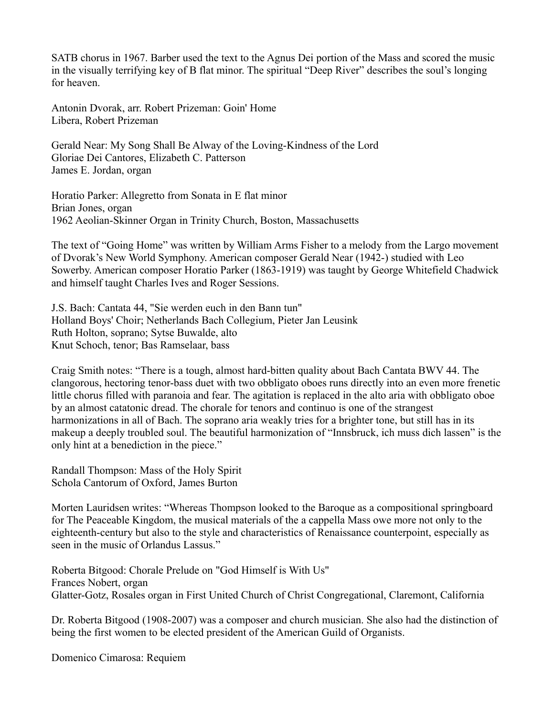SATB chorus in 1967. Barber used the text to the Agnus Dei portion of the Mass and scored the music in the visually terrifying key of B flat minor. The spiritual "Deep River" describes the soul's longing for heaven.

Antonin Dvorak, arr. Robert Prizeman: Goin' Home Libera, Robert Prizeman

Gerald Near: My Song Shall Be Alway of the Loving-Kindness of the Lord Gloriae Dei Cantores, Elizabeth C. Patterson James E. Jordan, organ

Horatio Parker: Allegretto from Sonata in E flat minor Brian Jones, organ 1962 Aeolian-Skinner Organ in Trinity Church, Boston, Massachusetts

The text of "Going Home" was written by William Arms Fisher to a melody from the Largo movement of Dvorak's New World Symphony. American composer Gerald Near (1942-) studied with Leo Sowerby. American composer Horatio Parker (1863-1919) was taught by George Whitefield Chadwick and himself taught Charles Ives and Roger Sessions.

J.S. Bach: Cantata 44, "Sie werden euch in den Bann tun" Holland Boys' Choir; Netherlands Bach Collegium, Pieter Jan Leusink Ruth Holton, soprano; Sytse Buwalde, alto Knut Schoch, tenor; Bas Ramselaar, bass

Craig Smith notes: "There is a tough, almost hard-bitten quality about Bach Cantata BWV 44. The clangorous, hectoring tenor-bass duet with two obbligato oboes runs directly into an even more frenetic little chorus filled with paranoia and fear. The agitation is replaced in the alto aria with obbligato oboe by an almost catatonic dread. The chorale for tenors and continuo is one of the strangest harmonizations in all of Bach. The soprano aria weakly tries for a brighter tone, but still has in its makeup a deeply troubled soul. The beautiful harmonization of "Innsbruck, ich muss dich lassen" is the only hint at a benediction in the piece."

Randall Thompson: Mass of the Holy Spirit Schola Cantorum of Oxford, James Burton

Morten Lauridsen writes: "Whereas Thompson looked to the Baroque as a compositional springboard for The Peaceable Kingdom, the musical materials of the a cappella Mass owe more not only to the eighteenth-century but also to the style and characteristics of Renaissance counterpoint, especially as seen in the music of Orlandus Lassus."

Roberta Bitgood: Chorale Prelude on "God Himself is With Us" Frances Nobert, organ Glatter-Gotz, Rosales organ in First United Church of Christ Congregational, Claremont, California

Dr. Roberta Bitgood (1908-2007) was a composer and church musician. She also had the distinction of being the first women to be elected president of the American Guild of Organists.

Domenico Cimarosa: Requiem